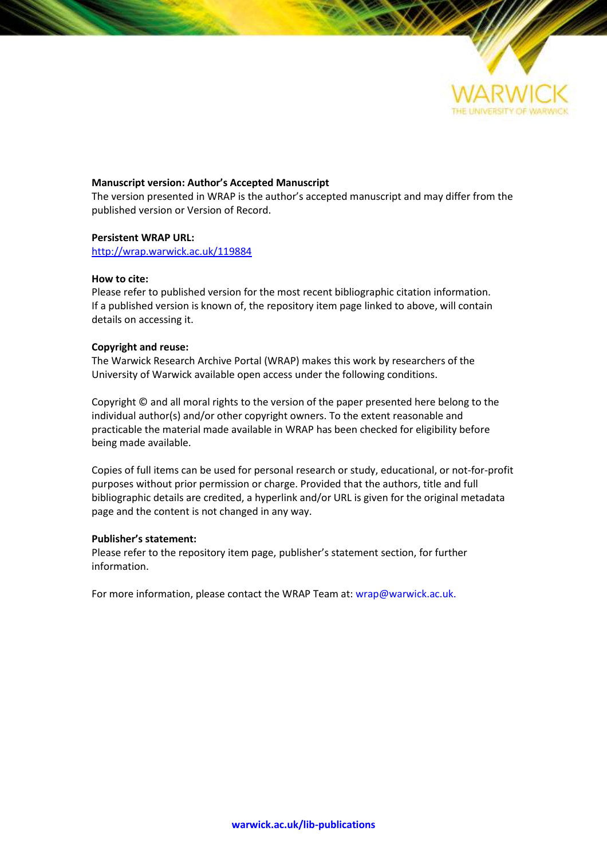

#### **Manuscript version: Author's Accepted Manuscript**

The version presented in WRAP is the author's accepted manuscript and may differ from the published version or Version of Record.

#### **Persistent WRAP URL:**

<http://wrap.warwick.ac.uk/119884>

#### **How to cite:**

Please refer to published version for the most recent bibliographic citation information. If a published version is known of, the repository item page linked to above, will contain details on accessing it.

#### **Copyright and reuse:**

The Warwick Research Archive Portal (WRAP) makes this work by researchers of the University of Warwick available open access under the following conditions.

Copyright © and all moral rights to the version of the paper presented here belong to the individual author(s) and/or other copyright owners. To the extent reasonable and practicable the material made available in WRAP has been checked for eligibility before being made available.

Copies of full items can be used for personal research or study, educational, or not-for-profit purposes without prior permission or charge. Provided that the authors, title and full bibliographic details are credited, a hyperlink and/or URL is given for the original metadata page and the content is not changed in any way.

#### **Publisher's statement:**

Please refer to the repository item page, publisher's statement section, for further information.

For more information, please contact the WRAP Team at[: wrap@warwick.ac.uk.](mailto:wrap@warwick.ac.uk)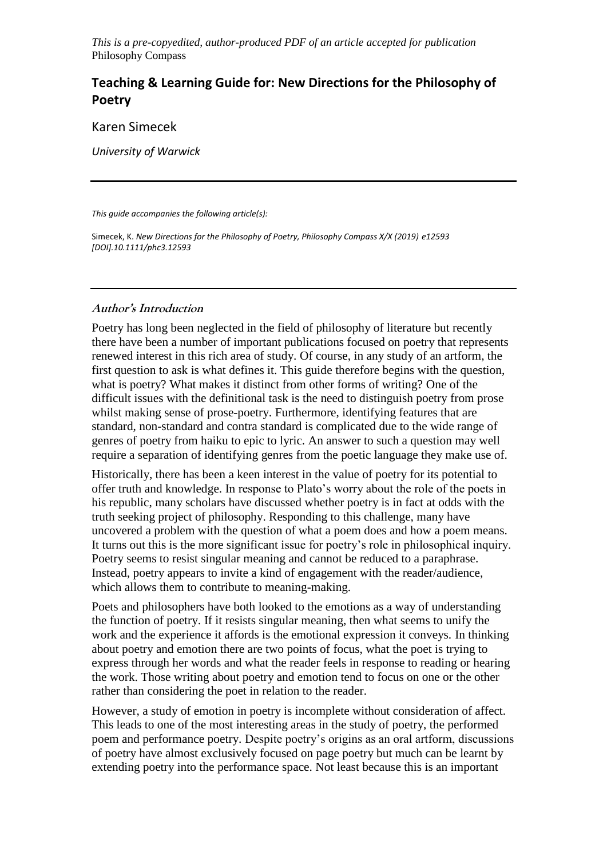*This is a pre-copyedited, author-produced PDF of an article accepted for publication*  Philosophy Compass

# **Teaching & Learning Guide for: New Directions for the Philosophy of Poetry**

Karen Simecek

*University of Warwick*

*This guide accompanies the following article(s):*

Simecek, K. *New Directions for the Philosophy of Poetry, Philosophy Compass X/X (2019) e12593 [DOI].10.1111/phc3.12593*

# **Author's Introduction**

Poetry has long been neglected in the field of philosophy of literature but recently there have been a number of important publications focused on poetry that represents renewed interest in this rich area of study. Of course, in any study of an artform, the first question to ask is what defines it. This guide therefore begins with the question, what is poetry? What makes it distinct from other forms of writing? One of the difficult issues with the definitional task is the need to distinguish poetry from prose whilst making sense of prose-poetry. Furthermore, identifying features that are standard, non-standard and contra standard is complicated due to the wide range of genres of poetry from haiku to epic to lyric. An answer to such a question may well require a separation of identifying genres from the poetic language they make use of.

Historically, there has been a keen interest in the value of poetry for its potential to offer truth and knowledge. In response to Plato's worry about the role of the poets in his republic, many scholars have discussed whether poetry is in fact at odds with the truth seeking project of philosophy. Responding to this challenge, many have uncovered a problem with the question of what a poem does and how a poem means. It turns out this is the more significant issue for poetry's role in philosophical inquiry. Poetry seems to resist singular meaning and cannot be reduced to a paraphrase. Instead, poetry appears to invite a kind of engagement with the reader/audience, which allows them to contribute to meaning-making.

Poets and philosophers have both looked to the emotions as a way of understanding the function of poetry. If it resists singular meaning, then what seems to unify the work and the experience it affords is the emotional expression it conveys. In thinking about poetry and emotion there are two points of focus, what the poet is trying to express through her words and what the reader feels in response to reading or hearing the work. Those writing about poetry and emotion tend to focus on one or the other rather than considering the poet in relation to the reader.

However, a study of emotion in poetry is incomplete without consideration of affect. This leads to one of the most interesting areas in the study of poetry, the performed poem and performance poetry. Despite poetry's origins as an oral artform, discussions of poetry have almost exclusively focused on page poetry but much can be learnt by extending poetry into the performance space. Not least because this is an important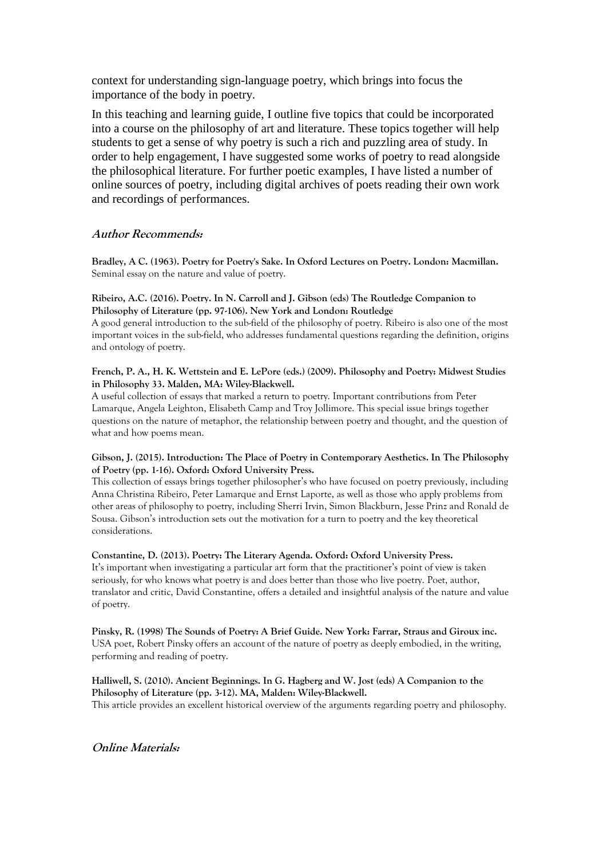context for understanding sign-language poetry, which brings into focus the importance of the body in poetry.

In this teaching and learning guide, I outline five topics that could be incorporated into a course on the philosophy of art and literature. These topics together will help students to get a sense of why poetry is such a rich and puzzling area of study. In order to help engagement, I have suggested some works of poetry to read alongside the philosophical literature. For further poetic examples, I have listed a number of online sources of poetry, including digital archives of poets reading their own work and recordings of performances.

# **Author Recommends:**

**Bradley, A C. (1963). Poetry for Poetry's Sake. In Oxford Lectures on Poetry. London: Macmillan.** Seminal essay on the nature and value of poetry.

#### **Ribeiro, A.C. (2016). Poetry. In N. Carroll and J. Gibson (eds) The Routledge Companion to Philosophy of Literature (pp. 97-106). New York and London: Routledge**

A good general introduction to the sub-field of the philosophy of poetry. Ribeiro is also one of the most important voices in the sub-field, who addresses fundamental questions regarding the definition, origins and ontology of poetry.

#### **French, P. A., H. K. Wettstein and E. LePore (eds.) (2009). Philosophy and Poetry: Midwest Studies in Philosophy 33. Malden, MA: Wiley-Blackwell.**

A useful collection of essays that marked a return to poetry. Important contributions from Peter Lamarque, Angela Leighton, Elisabeth Camp and Troy Jollimore. This special issue brings together questions on the nature of metaphor, the relationship between poetry and thought, and the question of what and how poems mean.

#### **Gibson, J. (2015). Introduction: The Place of Poetry in Contemporary Aesthetics. In The Philosophy of Poetry (pp. 1-16). Oxford: Oxford University Press.**

This collection of essays brings together philosopher's who have focused on poetry previously, including Anna Christina Ribeiro, Peter Lamarque and Ernst Laporte, as well as those who apply problems from other areas of philosophy to poetry, including Sherri Irvin, Simon Blackburn, Jesse Prinz and Ronald de Sousa. Gibson's introduction sets out the motivation for a turn to poetry and the key theoretical considerations.

#### **Constantine, D. (2013). Poetry: The Literary Agenda. Oxford: Oxford University Press.**

It's important when investigating a particular art form that the practitioner's point of view is taken seriously, for who knows what poetry is and does better than those who live poetry. Poet, author, translator and critic, David Constantine, offers a detailed and insightful analysis of the nature and value of poetry.

**Pinsky, R. (1998) The Sounds of Poetry: A Brief Guide. New York: Farrar, Straus and Giroux inc.** USA poet, Robert Pinsky offers an account of the nature of poetry as deeply embodied, in the writing, performing and reading of poetry.

### **Halliwell, S. (2010). Ancient Beginnings. In G. Hagberg and W. Jost (eds) A Companion to the Philosophy of Literature (pp. 3-12). MA, Malden: Wiley-Blackwell.**

This article provides an excellent historical overview of the arguments regarding poetry and philosophy.

**Online Materials:**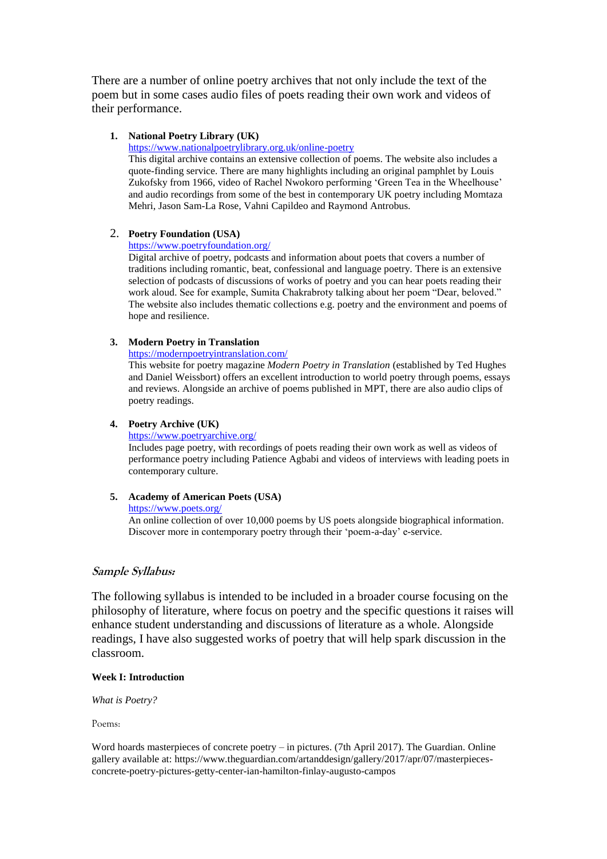There are a number of online poetry archives that not only include the text of the poem but in some cases audio files of poets reading their own work and videos of their performance.

#### **1. National Poetry Library (UK)**

<https://www.nationalpoetrylibrary.org.uk/online-poetry>

This digital archive contains an extensive collection of poems. The website also includes a quote-finding service. There are many highlights including an original pamphlet by Louis Zukofsky from 1966, video of Rachel Nwokoro performing 'Green Tea in the Wheelhouse' and audio recordings from some of the best in contemporary UK poetry including Momtaza Mehri, Jason Sam-La Rose, Vahni Capildeo and Raymond Antrobus.

#### 2. **Poetry Foundation (USA)**

<https://www.poetryfoundation.org/>

Digital archive of poetry, podcasts and information about poets that covers a number of traditions including romantic, beat, confessional and language poetry. There is an extensive selection of podcasts of discussions of works of poetry and you can hear poets reading their work aloud. See for example, Sumita Chakrabroty talking about her poem "Dear, beloved." The website also includes thematic collections e.g. poetry and the environment and poems of hope and resilience.

## **3. Modern Poetry in Translation**

<https://modernpoetryintranslation.com/>

This website for poetry magazine *Modern Poetry in Translation* (established by Ted Hughes and Daniel Weissbort) offers an excellent introduction to world poetry through poems, essays and reviews. Alongside an archive of poems published in MPT, there are also audio clips of poetry readings.

### **4. Poetry Archive (UK)**

<https://www.poetryarchive.org/>

Includes page poetry, with recordings of poets reading their own work as well as videos of performance poetry including Patience Agbabi and videos of interviews with leading poets in contemporary culture.

# **5. Academy of American Poets (USA)**

<https://www.poets.org/>

An online collection of over 10,000 poems by US poets alongside biographical information. Discover more in contemporary poetry through their 'poem-a-day' e-service.

# **Sample Syllabus:**

The following syllabus is intended to be included in a broader course focusing on the philosophy of literature, where focus on poetry and the specific questions it raises will enhance student understanding and discussions of literature as a whole. Alongside readings, I have also suggested works of poetry that will help spark discussion in the classroom.

#### **Week I: Introduction**

*What is Poetry?*

Poems:

Word hoards masterpieces of concrete poetry – in pictures. (7th April 2017). The Guardian. Online gallery available at: https://www.theguardian.com/artanddesign/gallery/2017/apr/07/masterpiecesconcrete-poetry-pictures-getty-center-ian-hamilton-finlay-augusto-campos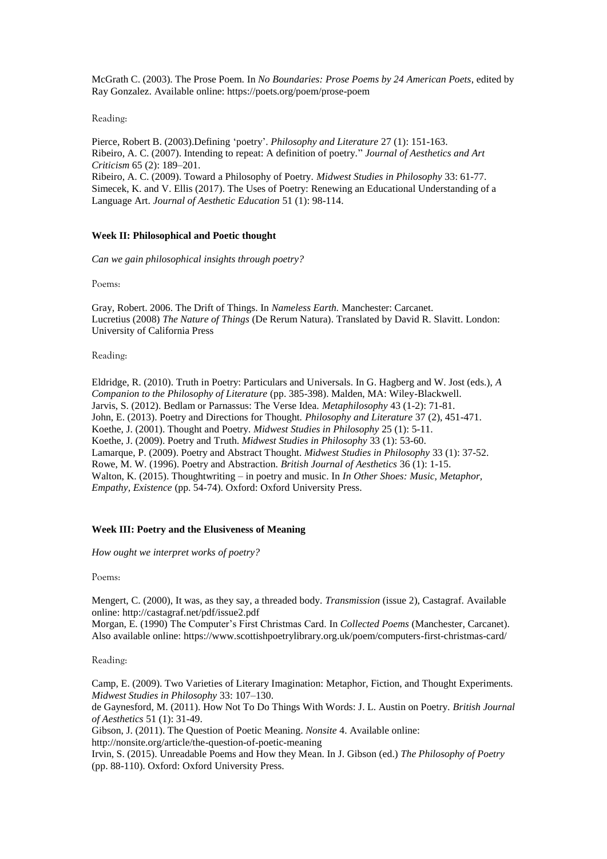McGrath C. (2003). The Prose Poem. In *No Boundaries: Prose Poems by 24 American Poets*, edited by Ray Gonzalez. Available online: https://poets.org/poem/prose-poem

#### Reading:

Pierce, Robert B. (2003).Defining 'poetry'. *Philosophy and Literature* 27 (1): 151-163. Ribeiro, A. C. (2007). Intending to repeat: A definition of poetry." *Journal of Aesthetics and Art Criticism* 65 (2): 189–201. Ribeiro, A. C. (2009). Toward a Philosophy of Poetry. *Midwest Studies in Philosophy* 33: 61-77. Simecek, K. and V. Ellis (2017). The Uses of Poetry: Renewing an Educational Understanding of a Language Art. *Journal of Aesthetic Education* 51 (1): 98-114.

#### **Week II: Philosophical and Poetic thought**

*Can we gain philosophical insights through poetry?*

Poems:

Gray, Robert. 2006. The Drift of Things. In *Nameless Earth.* Manchester: Carcanet. Lucretius (2008) *The Nature of Things* (De Rerum Natura). Translated by David R. Slavitt. London: University of California Press

Reading:

Eldridge, R. (2010). Truth in Poetry: Particulars and Universals. In G. Hagberg and W. Jost (eds.), *A Companion to the Philosophy of Literature* (pp. 385-398). Malden, MA: Wiley-Blackwell. Jarvis, S. (2012). Bedlam or Parnassus: The Verse Idea. *Metaphilosophy* 43 (1-2): 71-81. John, E. (2013). Poetry and Directions for Thought. *Philosophy and Literature* 37 (2), 451-471. Koethe, J. (2001). Thought and Poetry*. Midwest Studies in Philosophy* 25 (1): 5-11. Koethe, J. (2009). Poetry and Truth. *Midwest Studies in Philosophy* 33 (1): 53-60. Lamarque, P. (2009). Poetry and Abstract Thought. *Midwest Studies in Philosophy* 33 (1): 37-52. Rowe, M. W. (1996). Poetry and Abstraction. *British Journal of Aesthetics* 36 (1): 1-15. Walton, K. (2015). Thoughtwriting – in poetry and music. In *In Other Shoes: Music, Metaphor, Empathy, Existence* (pp. 54-74). Oxford: Oxford University Press.

#### **Week III: Poetry and the Elusiveness of Meaning**

*How ought we interpret works of poetry?*

Poems:

Mengert, C. (2000), It was, as they say, a threaded body. *Transmission* (issue 2), Castagraf. Available online: http://castagraf.net/pdf/issue2.pdf

Morgan, E. (1990) The Computer's First Christmas Card. In *Collected Poems* (Manchester, Carcanet). Also available online: https://www.scottishpoetrylibrary.org.uk/poem/computers-first-christmas-card/

Reading:

Camp, E. (2009). Two Varieties of Literary Imagination: Metaphor, Fiction, and Thought Experiments. *Midwest Studies in Philosophy* 33: 107–130.

de Gaynesford, M. (2011). How Not To Do Things With Words: J. L. Austin on Poetry. *British Journal of Aesthetics* 51 (1): 31-49.

Gibson, J. (2011). The Question of Poetic Meaning. *Nonsite* 4. Available online:

<http://nonsite.org/article/the-question-of-poetic-meaning>

Irvin, S. (2015). Unreadable Poems and How they Mean. In J. Gibson (ed.) *The Philosophy of Poetry* (pp. 88-110). Oxford: Oxford University Press.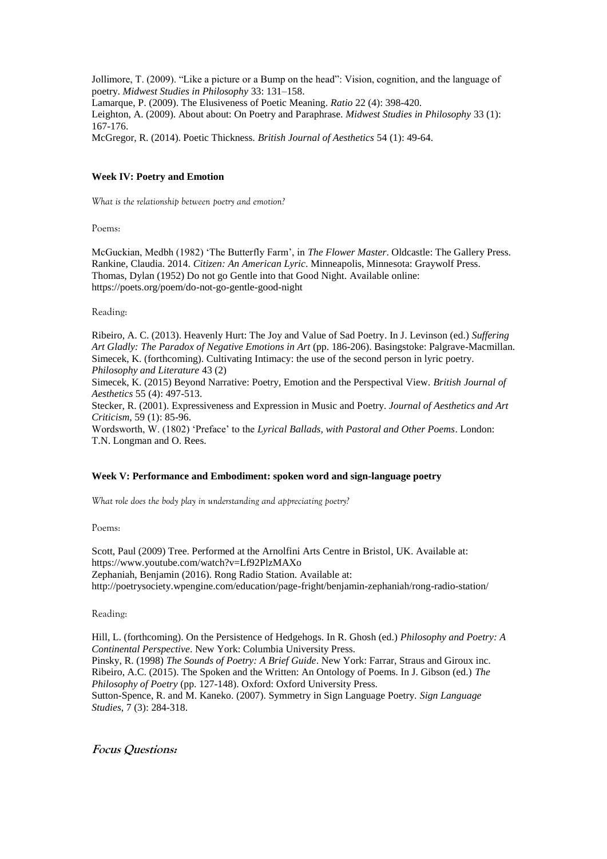Jollimore, T. (2009). "Like a picture or a Bump on the head": Vision, cognition, and the language of poetry. *Midwest Studies in Philosophy* 33: 131–158. Lamarque, P. (2009). The Elusiveness of Poetic Meaning. *Ratio* 22 (4): 398-420. Leighton, A. (2009). About about: On Poetry and Paraphrase. *Midwest Studies in Philosophy* 33 (1): 167-176. McGregor, R. (2014). Poetic Thickness. *British Journal of Aesthetics* 54 (1): 49-64.

#### **Week IV: Poetry and Emotion**

*What is the relationship between poetry and emotion?*

Poems:

McGuckian, Medbh (1982) 'The Butterfly Farm', in *The Flower Master*. Oldcastle: The Gallery Press. Rankine, Claudia. 2014. *Citizen: An American Lyric*. Minneapolis, Minnesota: Graywolf Press. Thomas, Dylan (1952) Do not go Gentle into that Good Night. Available online: <https://poets.org/poem/do-not-go-gentle-good-night>

Reading:

Ribeiro, A. C. (2013). Heavenly Hurt: The Joy and Value of Sad Poetry. In J. Levinson (ed.) *Suffering Art Gladly: The Paradox of Negative Emotions in Art* (pp. 186-206). Basingstoke: Palgrave-Macmillan. Simecek, K. (forthcoming). Cultivating Intimacy: the use of the second person in lyric poetry. *Philosophy and Literature* 43 (2)

Simecek, K. (2015) Beyond Narrative: Poetry, Emotion and the Perspectival View. *British Journal of Aesthetics* 55 (4): 497-513.

Stecker, R. (2001). Expressiveness and Expression in Music and Poetry. *Journal of Aesthetics and Art Criticism*, 59 (1): 85-96.

Wordsworth, W. (1802) 'Preface' to the *Lyrical Ballads, with Pastoral and Other Poems*. London: T.N. Longman and O. Rees.

#### **Week V: Performance and Embodiment: spoken word and sign-language poetry**

*What role does the body play in understanding and appreciating poetry?*

Poems:

Scott, Paul (2009) Tree. Performed at the Arnolfini Arts Centre in Bristol, UK. Available at: https://www.youtube.com/watch?v=Lf92PlzMAXo Zephaniah, Benjamin (2016). Rong Radio Station. Available at: <http://poetrysociety.wpengine.com/education/page-fright/benjamin-zephaniah/rong-radio-station/>

Reading:

Hill, L. (forthcoming). On the Persistence of Hedgehogs. In R. Ghosh (ed.) *Philosophy and Poetry: A Continental Perspective*. New York: Columbia University Press. Pinsky, R. (1998) *The Sounds of Poetry: A Brief Guide*. New York: Farrar, Straus and Giroux inc. Ribeiro, A.C. (2015). The Spoken and the Written: An Ontology of Poems. In J. Gibson (ed.) *The Philosophy of Poetry* (pp. 127-148). Oxford: Oxford University Press.

Sutton-Spence, R. and M. Kaneko. (2007). Symmetry in Sign Language Poetry. *Sign Language Studies*, 7 (3): 284-318.

**Focus Questions:**